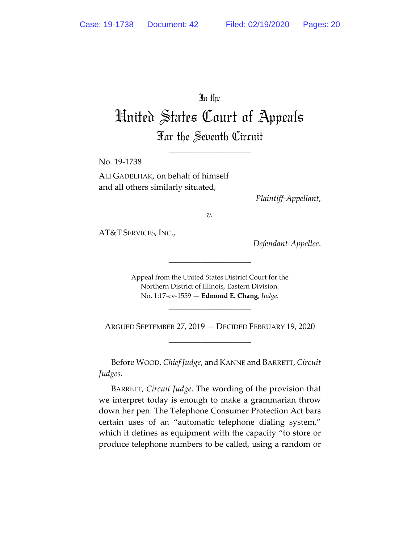In the

United States Court of Appeals For the Seventh Circuit

\_\_\_\_\_\_\_\_\_\_\_\_\_\_\_\_\_\_\_\_

No. 19‐1738

ALI GADELHAK, on behalf of himself and all others similarly situated,

*Plaintiff‐Appellant*,

*v.*

AT&T SERVICES, INC.,

*Defendant‐Appellee*.

Appeal from the United States District Court for the Northern District of Illinois, Eastern Division. No. 1:17‐cv‐1559 — **Edmond E. Chang**, *Judge*.

\_\_\_\_\_\_\_\_\_\_\_\_\_\_\_\_\_\_\_\_

ARGUED SEPTEMBER 27, 2019 — DECIDED FEBRUARY 19, 2020 \_\_\_\_\_\_\_\_\_\_\_\_\_\_\_\_\_\_\_\_

\_\_\_\_\_\_\_\_\_\_\_\_\_\_\_\_\_\_\_\_

Before WOOD, *Chief Judge*, and KANNE and BARRETT, *Circuit Judges*.

BARRETT, *Circuit Judge*. The wording of the provision that we interpret today is enough to make a grammarian throw down her pen. The Telephone Consumer Protection Act bars certain uses of an "automatic telephone dialing system," which it defines as equipment with the capacity "to store or produce telephone numbers to be called, using a random or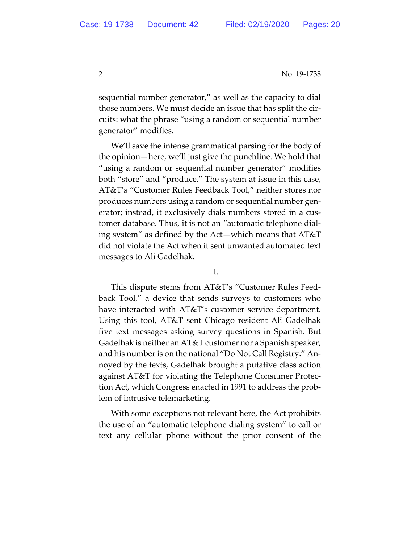sequential number generator," as well as the capacity to dial those numbers. We must decide an issue that has split the cir‐ cuits: what the phrase "using a random or sequential number generator" modifies.

We'll save the intense grammatical parsing for the body of the opinion—here, we'll just give the punchline. We hold that "using a random or sequential number generator" modifies both "store" and "produce." The system at issue in this case, AT&T's "Customer Rules Feedback Tool," neither stores nor produces numbers using a random or sequential number gen‐ erator; instead, it exclusively dials numbers stored in a cus‐ tomer database. Thus, it is not an "automatic telephone dial‐ ing system" as defined by the Act—which means that AT&T did not violate the Act when it sent unwanted automated text messages to Ali Gadelhak.

I.

This dispute stems from AT&T's "Customer Rules Feed‐ back Tool," a device that sends surveys to customers who have interacted with AT&T's customer service department. Using this tool, AT&T sent Chicago resident Ali Gadelhak five text messages asking survey questions in Spanish. But Gadelhak is neither an AT&T customer nor a Spanish speaker, and his number is on the national "Do Not Call Registry." An‐ noyed by the texts, Gadelhak brought a putative class action against AT&T for violating the Telephone Consumer Protec‐ tion Act, which Congress enacted in 1991 to address the prob‐ lem of intrusive telemarketing.

With some exceptions not relevant here, the Act prohibits the use of an "automatic telephone dialing system" to call or text any cellular phone without the prior consent of the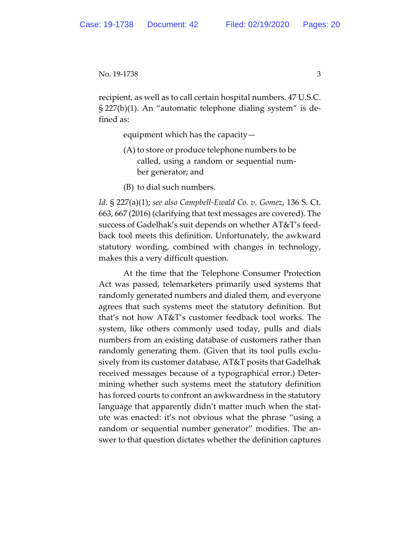recipient, as well as to call certain hospital numbers. 47 U.S.C. § 227(b)(1). An "automatic telephone dialing system" is de‐ fined as:

equipment which has the capacity—

- (A) to store or produce telephone numbers to be called, using a random or sequential num‐ ber generator; and
- (B) to dial such numbers.

*Id.* § 227(a)(1); *see also Campbell‐Ewald Co. v. Gomez*, 136 S. Ct. 663, 667 (2016) (clarifying that text messages are covered). The success of Gadelhak's suit depends on whether AT&T's feed‐ back tool meets this definition. Unfortunately, the awkward statutory wording, combined with changes in technology, makes this a very difficult question.

At the time that the Telephone Consumer Protection Act was passed, telemarketers primarily used systems that randomly generated numbers and dialed them, and everyone agrees that such systems meet the statutory definition. But that's not how AT&T's customer feedback tool works. The system, like others commonly used today, pulls and dials numbers from an existing database of customers rather than randomly generating them. (Given that its tool pulls exclu‐ sively from its customer database, AT&T posits that Gadelhak received messages because of a typographical error.) Deter‐ mining whether such systems meet the statutory definition has forced courts to confront an awkwardness in the statutory language that apparently didn't matter much when the statute was enacted: it's not obvious what the phrase "using a random or sequential number generator" modifies. The answer to that question dictates whether the definition captures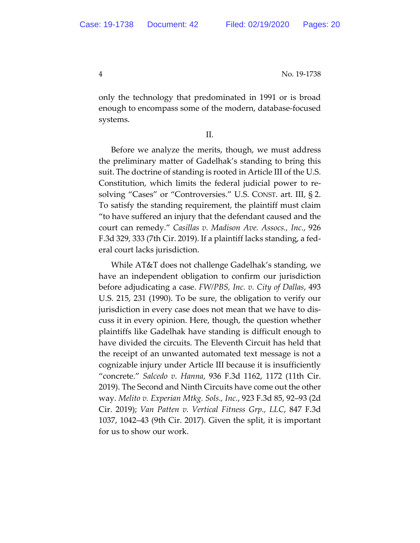only the technology that predominated in 1991 or is broad enough to encompass some of the modern, database‐focused systems.

II.

Before we analyze the merits, though, we must address the preliminary matter of Gadelhak's standing to bring this suit. The doctrine of standing is rooted in Article III of the U.S. Constitution, which limits the federal judicial power to re‐ solving "Cases" or "Controversies." U.S. CONST. art. III, § 2. To satisfy the standing requirement, the plaintiff must claim "to have suffered an injury that the defendant caused and the court can remedy." *Casillas v. Madison Ave. Assocs., Inc.*, 926 F.3d 329, 333 (7th Cir. 2019). If a plaintiff lacks standing, a fed‐ eral court lacks jurisdiction.

While AT&T does not challenge Gadelhak's standing, we have an independent obligation to confirm our jurisdiction before adjudicating a case. *FW/PBS, Inc. v. City of Dallas*, 493 U.S. 215, 231 (1990). To be sure, the obligation to verify our jurisdiction in every case does not mean that we have to dis‐ cuss it in every opinion. Here, though, the question whether plaintiffs like Gadelhak have standing is difficult enough to have divided the circuits. The Eleventh Circuit has held that the receipt of an unwanted automated text message is not a cognizable injury under Article III because it is insufficiently "concrete." *Salcedo v. Hanna*, 936 F.3d 1162, 1172 (11th Cir. 2019). The Second and Ninth Circuits have come out the other way. *Melito v. Experian Mtkg. Sols., Inc.*, 923 F.3d 85, 92–93 (2d Cir. 2019); *Van Patten v. Vertical Fitness Grp., LLC*, 847 F.3d 1037, 1042–43 (9th Cir. 2017). Given the split, it is important for us to show our work.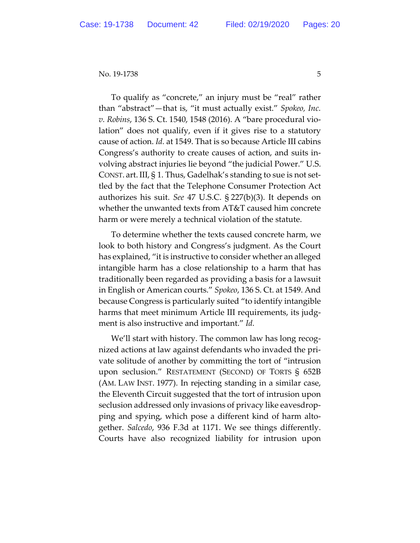To qualify as "concrete," an injury must be "real" rather than "abstract"—that is, "it must actually exist." *Spokeo, Inc. v. Robins*, 136 S. Ct. 1540, 1548 (2016). A "bare procedural vio‐ lation" does not qualify, even if it gives rise to a statutory cause of action. *Id.* at 1549. That is so because Article III cabins Congress's authority to create causes of action, and suits in‐ volving abstract injuries lie beyond "the judicial Power." U.S. CONST. art. III, § 1. Thus, Gadelhak's standing to sue is not set‐ tled by the fact that the Telephone Consumer Protection Act authorizes his suit. *See* 47 U.S.C. § 227(b)(3). It depends on whether the unwanted texts from AT&T caused him concrete harm or were merely a technical violation of the statute.

To determine whether the texts caused concrete harm, we look to both history and Congress's judgment. As the Court has explained, "it is instructive to consider whether an alleged intangible harm has a close relationship to a harm that has traditionally been regarded as providing a basis for a lawsuit in English or American courts." *Spokeo*, 136 S. Ct. at 1549. And because Congress is particularly suited "to identify intangible harms that meet minimum Article III requirements, its judgment is also instructive and important." *Id.*

We'll start with history. The common law has long recognized actions at law against defendants who invaded the pri‐ vate solitude of another by committing the tort of "intrusion upon seclusion." RESTATEMENT (SECOND) OF TORTS § 652B (AM. LAW INST. 1977). In rejecting standing in a similar case, the Eleventh Circuit suggested that the tort of intrusion upon seclusion addressed only invasions of privacy like eavesdrop‐ ping and spying, which pose a different kind of harm alto‐ gether. *Salcedo*, 936 F.3d at 1171. We see things differently. Courts have also recognized liability for intrusion upon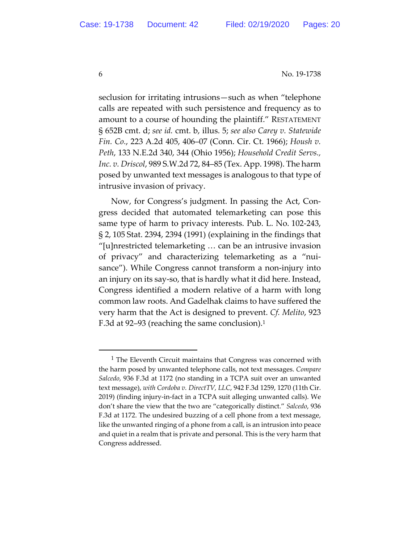seclusion for irritating intrusions—such as when "telephone calls are repeated with such persistence and frequency as to amount to a course of hounding the plaintiff." RESTATEMENT § 652B cmt. d; *see id.* cmt. b, illus. 5; *see also Carey v. Statewide Fin. Co.*, 223 A.2d 405, 406–07 (Conn. Cir. Ct. 1966); *Housh v. Peth*, 133 N.E.2d 340, 344 (Ohio 1956); *Household Credit Servs., Inc. v. Driscol*, 989 S.W.2d 72, 84–85 (Tex. App. 1998). The harm posed by unwanted text messages is analogous to that type of intrusive invasion of privacy.

Now, for Congress's judgment. In passing the Act, Con‐ gress decided that automated telemarketing can pose this same type of harm to privacy interests. Pub. L. No. 102‐243, § 2, 105 Stat. 2394, 2394 (1991) (explaining in the findings that "[u]nrestricted telemarketing … can be an intrusive invasion of privacy" and characterizing telemarketing as a "nui‐ sance"). While Congress cannot transform a non-injury into an injury on its say‐so, that is hardly what it did here. Instead, Congress identified a modern relative of a harm with long common law roots. And Gadelhak claims to have suffered the very harm that the Act is designed to prevent. *Cf. Melito*, 923 F.3d at 92–93 (reaching the same conclusion).1

<sup>&</sup>lt;sup>1</sup> The Eleventh Circuit maintains that Congress was concerned with the harm posed by unwanted telephone calls, not text messages. *Compare Salcedo*, 936 F.3d at 1172 (no standing in a TCPA suit over an unwanted text message), *with Cordoba v. DirectTV, LLC*, 942 F.3d 1259, 1270 (11th Cir. 2019) (finding injury‐in‐fact in a TCPA suit alleging unwanted calls). We don't share the view that the two are "categorically distinct." *Salcedo*, 936 F.3d at 1172. The undesired buzzing of a cell phone from a text message, like the unwanted ringing of a phone from a call, is an intrusion into peace and quiet in a realm that is private and personal. This is the very harm that Congress addressed.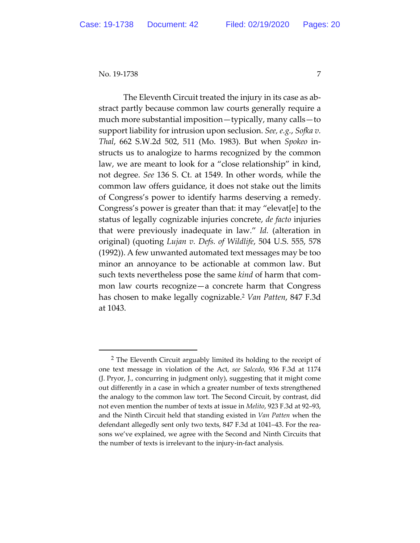The Eleventh Circuit treated the injury in its case as ab‐ stract partly because common law courts generally require a much more substantial imposition—typically, many calls—to support liability for intrusion upon seclusion. *See, e.g.*, *Sofka v. Thal*, 662 S.W.2d 502, 511 (Mo. 1983). But when *Spokeo* in‐ structs us to analogize to harms recognized by the common law, we are meant to look for a "close relationship" in kind, not degree. *See* 136 S. Ct. at 1549. In other words, while the common law offers guidance, it does not stake out the limits of Congress's power to identify harms deserving a remedy. Congress's power is greater than that: it may "elevat[e] to the status of legally cognizable injuries concrete, *de facto* injuries that were previously inadequate in law." *Id.* (alteration in original) (quoting *Lujan v. Defs. of Wildlife*, 504 U.S. 555, 578 (1992)). A few unwanted automated text messages may be too minor an annoyance to be actionable at common law. But such texts nevertheless pose the same *kind* of harm that com‐ mon law courts recognize—a concrete harm that Congress has chosen to make legally cognizable.2 *Van Patten*, 847 F.3d at 1043.

<sup>&</sup>lt;sup>2</sup> The Eleventh Circuit arguably limited its holding to the receipt of one text message in violation of the Act, *see Salcedo*, 936 F.3d at 1174 (J. Pryor, J., concurring in judgment only), suggesting that it might come out differently in a case in which a greater number of texts strengthened the analogy to the common law tort. The Second Circuit, by contrast, did not even mention the number of texts at issue in *Melito*, 923 F.3d at 92–93, and the Ninth Circuit held that standing existed in *Van Patten* when the defendant allegedly sent only two texts, 847 F.3d at 1041–43. For the rea‐ sons we've explained, we agree with the Second and Ninth Circuits that the number of texts is irrelevant to the injury‐in‐fact analysis.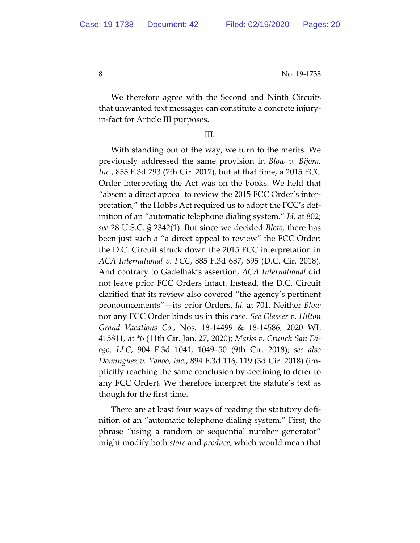We therefore agree with the Second and Ninth Circuits that unwanted text messages can constitute a concrete injury‐ in‐fact for Article III purposes.

## III.

With standing out of the way, we turn to the merits. We previously addressed the same provision in *Blow v. Bijora, Inc.*, 855 F.3d 793 (7th Cir. 2017), but at that time, a 2015 FCC Order interpreting the Act was on the books. We held that "absent a direct appeal to review the 2015 FCC Order's inter‐ pretation," the Hobbs Act required us to adopt the FCC's def‐ inition of an "automatic telephone dialing system." *Id.* at 802; *see* 28 U.S.C. § 2342(1). But since we decided *Blow*, there has been just such a "a direct appeal to review" the FCC Order: the D.C. Circuit struck down the 2015 FCC interpretation in *ACA International v. FCC*, 885 F.3d 687, 695 (D.C. Cir. 2018). And contrary to Gadelhak's assertion, *ACA International* did not leave prior FCC Orders intact. Instead, the D.C. Circuit clarified that its review also covered "the agency's pertinent pronouncements"—its prior Orders. *Id.* at 701. Neither *Blow* nor any FCC Order binds us in this case. *See Glasser v. Hilton Grand Vacations Co.*, Nos. 18‐14499 & 18‐14586, 2020 WL 415811, at \*6 (11th Cir. Jan. 27, 2020); *Marks v. Crunch San Di‐ ego, LLC*, 904 F.3d 1041, 1049–50 (9th Cir. 2018); *see also Dominguez v. Yahoo, Inc.*, 894 F.3d 116, 119 (3d Cir. 2018) (im‐ plicitly reaching the same conclusion by declining to defer to any FCC Order). We therefore interpret the statute's text as though for the first time.

There are at least four ways of reading the statutory defi‐ nition of an "automatic telephone dialing system." First, the phrase "using a random or sequential number generator" might modify both *store* and *produce*, which would mean that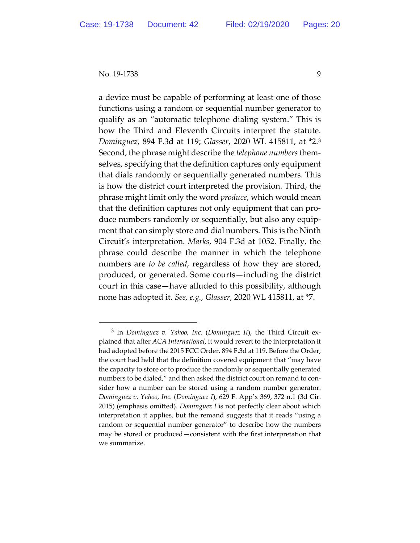a device must be capable of performing at least one of those functions using a random or sequential number generator to qualify as an "automatic telephone dialing system." This is how the Third and Eleventh Circuits interpret the statute. *Dominguez*, 894 F.3d at 119; *Glasser*, 2020 WL 415811, at \*2.3 Second, the phrase might describe the *telephone numbers* them‐ selves, specifying that the definition captures only equipment that dials randomly or sequentially generated numbers. This is how the district court interpreted the provision. Third, the phrase might limit only the word *produce*, which would mean that the definition captures not only equipment that can pro‐ duce numbers randomly or sequentially, but also any equip‐ ment that can simply store and dial numbers. This is the Ninth Circuit's interpretation. *Marks*, 904 F.3d at 1052. Finally, the phrase could describe the manner in which the telephone numbers are *to be called*, regardless of how they are stored, produced, or generated. Some courts—including the district court in this case—have alluded to this possibility, although none has adopted it. *See, e.g.*, *Glasser*, 2020 WL 415811, at \*7.

<sup>3</sup> In *Dominguez v. Yahoo, Inc.* (*Dominguez II*), the Third Circuit ex‐ plained that after *ACA International*, it would revert to the interpretation it had adopted before the 2015 FCC Order. 894 F.3d at 119. Before the Order, the court had held that the definition covered equipment that "may have the capacity to store or to produce the randomly or sequentially generated numbers to be dialed," and then asked the district court on remand to consider how a number can be stored using a random number generator. *Dominguez v. Yahoo, Inc.* (*Dominguez I*), 629 F. App'x 369, 372 n.1 (3d Cir. 2015) (emphasis omitted). *Dominguez I* is not perfectly clear about which interpretation it applies, but the remand suggests that it reads "using a random or sequential number generator" to describe how the numbers may be stored or produced—consistent with the first interpretation that we summarize.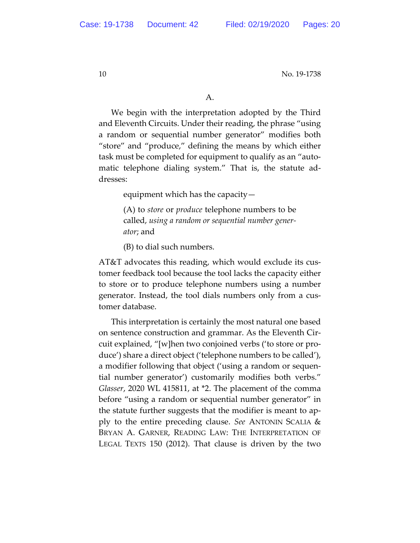A.

We begin with the interpretation adopted by the Third and Eleventh Circuits. Under their reading, the phrase "using a random or sequential number generator" modifies both "store" and "produce," defining the means by which either task must be completed for equipment to qualify as an "auto‐ matic telephone dialing system." That is, the statute ad‐ dresses:

equipment which has the capacity—

(A) to *store* or *produce* telephone numbers to be called, *using a random or sequential number gener‐ ator*; and

(B) to dial such numbers.

AT&T advocates this reading, which would exclude its cus‐ tomer feedback tool because the tool lacks the capacity either to store or to produce telephone numbers using a number generator. Instead, the tool dials numbers only from a cus‐ tomer database.

This interpretation is certainly the most natural one based on sentence construction and grammar. As the Eleventh Cir‐ cuit explained, "[w]hen two conjoined verbs ('to store or pro‐ duce') share a direct object ('telephone numbers to be called'), a modifier following that object ('using a random or sequen‐ tial number generator') customarily modifies both verbs." *Glasser*, 2020 WL 415811, at \*2. The placement of the comma before "using a random or sequential number generator" in the statute further suggests that the modifier is meant to ap‐ ply to the entire preceding clause. *See* ANTONIN SCALIA & BRYAN A. GARNER, READING LAW: THE INTERPRETATION OF LEGAL TEXTS 150 (2012). That clause is driven by the two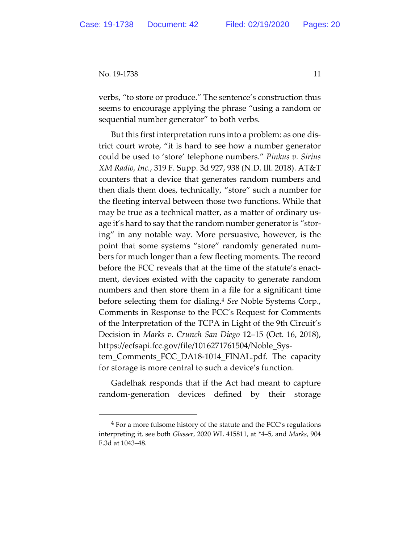verbs, "to store or produce." The sentence's construction thus seems to encourage applying the phrase "using a random or sequential number generator" to both verbs.

But this first interpretation runs into a problem: as one dis‐ trict court wrote, "it is hard to see how a number generator could be used to 'store' telephone numbers." *Pinkus v. Sirius XM Radio, Inc.*, 319 F. Supp. 3d 927, 938 (N.D. Ill. 2018). AT&T counters that a device that generates random numbers and then dials them does, technically, "store" such a number for the fleeting interval between those two functions. While that may be true as a technical matter, as a matter of ordinary us‐ age it's hard to say that the random number generator is "storing" in any notable way. More persuasive, however, is the point that some systems "store" randomly generated num‐ bers for much longer than a few fleeting moments. The record before the FCC reveals that at the time of the statute's enactment, devices existed with the capacity to generate random numbers and then store them in a file for a significant time before selecting them for dialing.4 *See* Noble Systems Corp., Comments in Response to the FCC's Request for Comments of the Interpretation of the TCPA in Light of the 9th Circuit's Decision in *Marks v. Crunch San Diego* 12–15 (Oct. 16, 2018), https://ecfsapi.fcc.gov/file/1016271761504/Noble\_Sys‐ tem\_Comments\_FCC\_DA18‐1014\_FINAL.pdf. The capacity for storage is more central to such a device's function.

Gadelhak responds that if the Act had meant to capture random‐generation devices defined by their storage

<sup>&</sup>lt;sup>4</sup> For a more fulsome history of the statute and the FCC's regulations interpreting it, see both *Glasser*, 2020 WL 415811, at \*4–5, and *Marks*, 904 F.3d at 1043–48.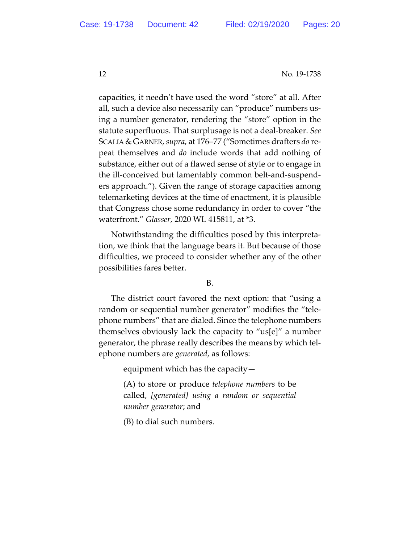capacities, it needn't have used the word "store" at all. After all, such a device also necessarily can "produce" numbers us‐ ing a number generator, rendering the "store" option in the statute superfluous. That surplusage is not a deal‐breaker. *See* SCALIA & GARNER, *supra*, at 176–77 ("Sometimes drafters *do* re‐ peat themselves and *do* include words that add nothing of substance, either out of a flawed sense of style or to engage in the ill‐conceived but lamentably common belt‐and‐suspend‐ ers approach."). Given the range of storage capacities among telemarketing devices at the time of enactment, it is plausible that Congress chose some redundancy in order to cover "the waterfront." *Glasser*, 2020 WL 415811, at \*3.

Notwithstanding the difficulties posed by this interpreta‐ tion, we think that the language bears it. But because of those difficulties, we proceed to consider whether any of the other possibilities fares better.

## B.

The district court favored the next option: that "using a random or sequential number generator" modifies the "tele‐ phone numbers" that are dialed. Since the telephone numbers themselves obviously lack the capacity to "us[e]" a number generator, the phrase really describes the means by which tel‐ ephone numbers are *generated*, as follows:

equipment which has the capacity—

(A) to store or produce *telephone numbers* to be called, *[generated] using a random or sequential number generator*; and

(B) to dial such numbers.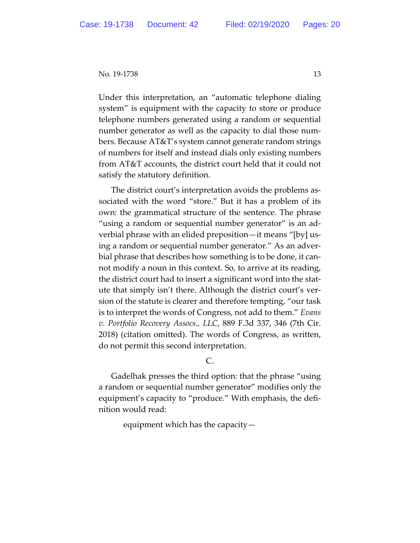Under this interpretation, an "automatic telephone dialing system" is equipment with the capacity to store or produce telephone numbers generated using a random or sequential number generator as well as the capacity to dial those num‐ bers. Because AT&T's system cannot generate random strings of numbers for itself and instead dials only existing numbers from AT&T accounts, the district court held that it could not satisfy the statutory definition.

The district court's interpretation avoids the problems as‐ sociated with the word "store." But it has a problem of its own: the grammatical structure of the sentence. The phrase "using a random or sequential number generator" is an ad‐ verbial phrase with an elided preposition—it means "[by] us‐ ing a random or sequential number generator." As an adver‐ bial phrase that describes how something is to be done, it can‐ not modify a noun in this context. So, to arrive at its reading, the district court had to insert a significant word into the stat‐ ute that simply isn't there. Although the district court's ver‐ sion of the statute is clearer and therefore tempting, "our task is to interpret the words of Congress, not add to them." *Evans v. Portfolio Recovery Assocs., LLC*, 889 F.3d 337, 346 (7th Cir. 2018) (citation omitted). The words of Congress, as written, do not permit this second interpretation.

C.

Gadelhak presses the third option: that the phrase "using a random or sequential number generator" modifies only the equipment's capacity to "produce." With emphasis, the defi‐ nition would read:

equipment which has the capacity—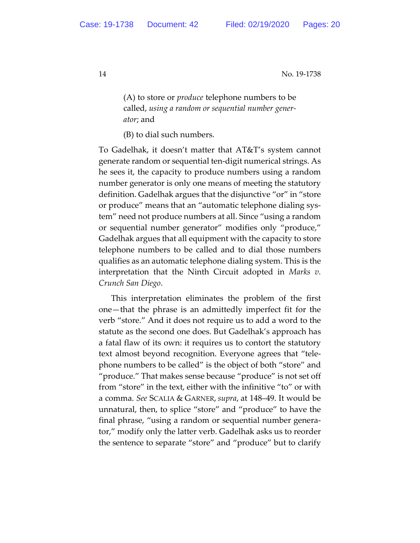(A) to store or *produce* telephone numbers to be called, *using a random or sequential number gener‐ ator*; and

(B) to dial such numbers.

To Gadelhak, it doesn't matter that AT&T's system cannot generate random or sequential ten‐digit numerical strings. As he sees it, the capacity to produce numbers using a random number generator is only one means of meeting the statutory definition. Gadelhak argues that the disjunctive "or" in "store or produce" means that an "automatic telephone dialing sys‐ tem" need not produce numbers at all. Since "using a random or sequential number generator" modifies only "produce," Gadelhak argues that all equipment with the capacity to store telephone numbers to be called and to dial those numbers qualifies as an automatic telephone dialing system. This is the interpretation that the Ninth Circuit adopted in *Marks v. Crunch San Diego*.

This interpretation eliminates the problem of the first one—that the phrase is an admittedly imperfect fit for the verb "store." And it does not require us to add a word to the statute as the second one does. But Gadelhak's approach has a fatal flaw of its own: it requires us to contort the statutory text almost beyond recognition. Everyone agrees that "tele‐ phone numbers to be called" is the object of both "store" and "produce." That makes sense because "produce" is not set off from "store" in the text, either with the infinitive "to" or with a comma. *See* SCALIA & GARNER, *supra*, at 148–49. It would be unnatural, then, to splice "store" and "produce" to have the final phrase, "using a random or sequential number genera‐ tor," modify only the latter verb. Gadelhak asks us to reorder the sentence to separate "store" and "produce" but to clarify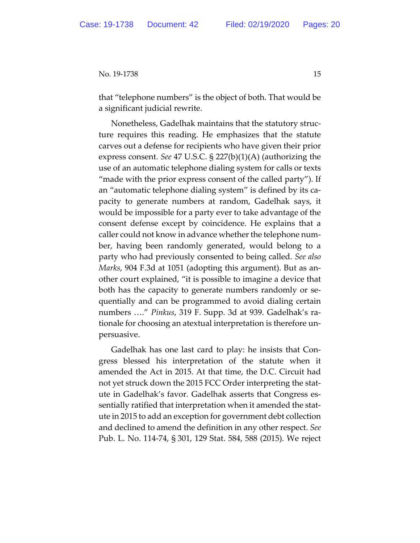that "telephone numbers" is the object of both. That would be a significant judicial rewrite.

Nonetheless, Gadelhak maintains that the statutory struc‐ ture requires this reading. He emphasizes that the statute carves out a defense for recipients who have given their prior express consent. *See* 47 U.S.C. § 227(b)(1)(A) (authorizing the use of an automatic telephone dialing system for calls or texts "made with the prior express consent of the called party"). If an "automatic telephone dialing system" is defined by its ca‐ pacity to generate numbers at random, Gadelhak says, it would be impossible for a party ever to take advantage of the consent defense except by coincidence. He explains that a caller could not know in advance whether the telephone number, having been randomly generated, would belong to a party who had previously consented to being called. *See also Marks*, 904 F.3d at 1051 (adopting this argument). But as an‐ other court explained, "it is possible to imagine a device that both has the capacity to generate numbers randomly or se‐ quentially and can be programmed to avoid dialing certain numbers …." *Pinkus*, 319 F. Supp. 3d at 939. Gadelhak's ra‐ tionale for choosing an atextual interpretation is therefore un‐ persuasive.

Gadelhak has one last card to play: he insists that Con‐ gress blessed his interpretation of the statute when it amended the Act in 2015. At that time, the D.C. Circuit had not yet struck down the 2015 FCC Order interpreting the statute in Gadelhak's favor. Gadelhak asserts that Congress es‐ sentially ratified that interpretation when it amended the stat‐ ute in 2015 to add an exception for government debt collection and declined to amend the definition in any other respect. *See* Pub. L. No. 114‐74, § 301, 129 Stat. 584, 588 (2015). We reject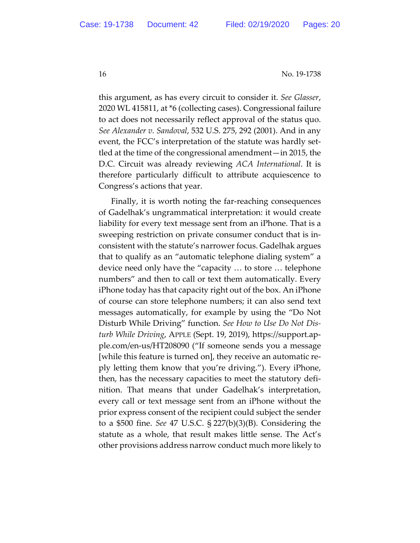this argument, as has every circuit to consider it. *See Glasser*, 2020 WL 415811, at \*6 (collecting cases). Congressional failure to act does not necessarily reflect approval of the status quo. *See Alexander v. Sandoval*, 532 U.S. 275, 292 (2001). And in any event, the FCC's interpretation of the statute was hardly set‐ tled at the time of the congressional amendment—in 2015, the D.C. Circuit was already reviewing *ACA International*. It is therefore particularly difficult to attribute acquiescence to Congress's actions that year.

Finally, it is worth noting the far‐reaching consequences of Gadelhak's ungrammatical interpretation: it would create liability for every text message sent from an iPhone. That is a sweeping restriction on private consumer conduct that is in‐ consistent with the statute's narrower focus. Gadelhak argues that to qualify as an "automatic telephone dialing system" a device need only have the "capacity … to store … telephone numbers" and then to call or text them automatically. Every iPhone today has that capacity right out of the box. An iPhone of course can store telephone numbers; it can also send text messages automatically, for example by using the "Do Not Disturb While Driving" function. *See How to Use Do Not Dis‐ turb While Driving*, APPLE (Sept. 19, 2019), https://support.ap‐ ple.com/en‐us/HT208090 ("If someone sends you a message [while this feature is turned on], they receive an automatic re‐ ply letting them know that you're driving."). Every iPhone, then, has the necessary capacities to meet the statutory defi‐ nition. That means that under Gadelhak's interpretation, every call or text message sent from an iPhone without the prior express consent of the recipient could subject the sender to a \$500 fine. *See* 47 U.S.C. § 227(b)(3)(B). Considering the statute as a whole, that result makes little sense. The Act's other provisions address narrow conduct much more likely to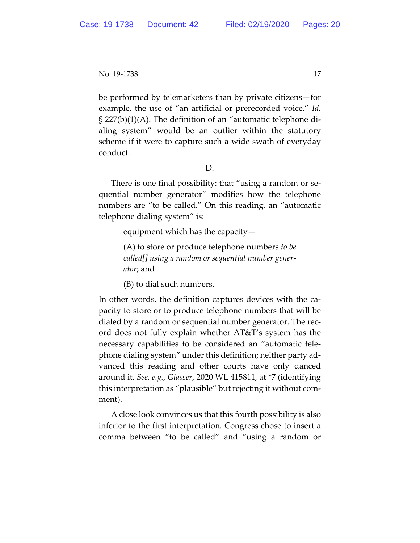be performed by telemarketers than by private citizens—for example, the use of "an artificial or prerecorded voice." *Id.*  $\S 227(b)(1)(A)$ . The definition of an "automatic telephone dialing system" would be an outlier within the statutory scheme if it were to capture such a wide swath of everyday conduct.

## D.

There is one final possibility: that "using a random or se‐ quential number generator" modifies how the telephone numbers are "to be called." On this reading, an "automatic telephone dialing system" is:

equipment which has the capacity—

(A) to store or produce telephone numbers *to be called[] using a random or sequential number gener‐ ator*; and

(B) to dial such numbers.

In other words, the definition captures devices with the capacity to store or to produce telephone numbers that will be dialed by a random or sequential number generator. The rec‐ ord does not fully explain whether AT&T's system has the necessary capabilities to be considered an "automatic tele‐ phone dialing system" under this definition; neither party ad‐ vanced this reading and other courts have only danced around it. *See*, *e.g.*, *Glasser*, 2020 WL 415811, at \*7 (identifying this interpretation as "plausible" but rejecting it without com‐ ment).

A close look convinces us that this fourth possibility is also inferior to the first interpretation. Congress chose to insert a comma between "to be called" and "using a random or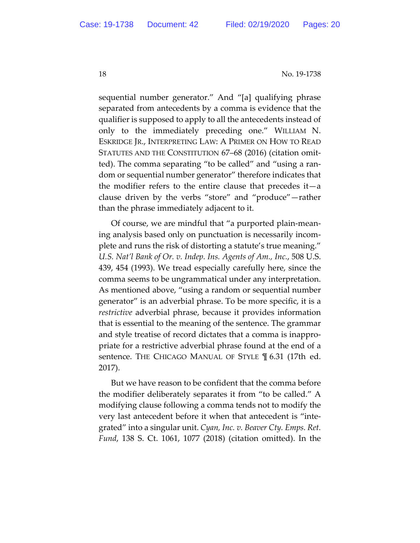sequential number generator." And "[a] qualifying phrase separated from antecedents by a comma is evidence that the qualifier is supposed to apply to all the antecedents instead of only to the immediately preceding one." WILLIAM N. ESKRIDGE JR., INTERPRETING LAW: A PRIMER ON HOW TO READ STATUTES AND THE CONSTITUTION 67–68 (2016) (citation omit‐ ted). The comma separating "to be called" and "using a ran‐ dom or sequential number generator" therefore indicates that the modifier refers to the entire clause that precedes it—a clause driven by the verbs "store" and "produce"—rather than the phrase immediately adjacent to it.

Of course, we are mindful that "a purported plain‐mean‐ ing analysis based only on punctuation is necessarily incom‐ plete and runs the risk of distorting a statute's true meaning." *U.S. Nat'l Bank of Or. v. Indep. Ins. Agents of Am., Inc.*, 508 U.S. 439, 454 (1993). We tread especially carefully here, since the comma seems to be ungrammatical under any interpretation. As mentioned above, "using a random or sequential number generator" is an adverbial phrase. To be more specific, it is a *restrictive* adverbial phrase, because it provides information that is essential to the meaning of the sentence. The grammar and style treatise of record dictates that a comma is inappro‐ priate for a restrictive adverbial phrase found at the end of a sentence. THE CHICAGO MANUAL OF STYLE ¶ 6.31 (17th ed. 2017).

But we have reason to be confident that the comma before the modifier deliberately separates it from "to be called." A modifying clause following a comma tends not to modify the very last antecedent before it when that antecedent is "inte‐ grated" into a singular unit. *Cyan, Inc. v. Beaver Cty. Emps. Ret. Fund*, 138 S. Ct. 1061, 1077 (2018) (citation omitted). In the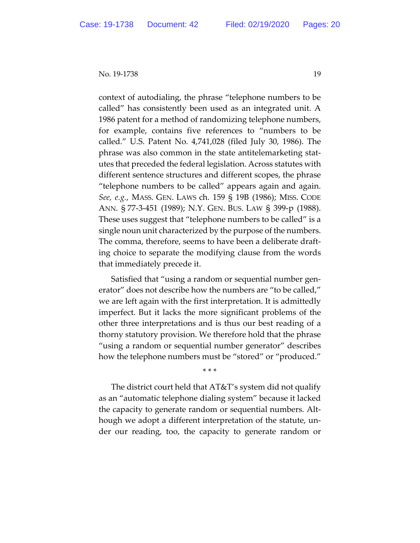context of autodialing, the phrase "telephone numbers to be called" has consistently been used as an integrated unit. A 1986 patent for a method of randomizing telephone numbers, for example, contains five references to "numbers to be called." U.S. Patent No. 4,741,028 (filed July 30, 1986). The phrase was also common in the state antitelemarketing stat‐ utes that preceded the federal legislation. Across statutes with different sentence structures and different scopes, the phrase "telephone numbers to be called" appears again and again. *See, e.g.*, MASS. GEN. LAWS ch. 159 § 19B (1986); MISS. CODE ANN. § 77‐3‐451 (1989); N.Y. GEN. BUS. LAW § 399‐p (1988). These uses suggest that "telephone numbers to be called" is a single noun unit characterized by the purpose of the numbers. The comma, therefore, seems to have been a deliberate draft‐ ing choice to separate the modifying clause from the words that immediately precede it.

Satisfied that "using a random or sequential number gen‐ erator" does not describe how the numbers are "to be called," we are left again with the first interpretation. It is admittedly imperfect. But it lacks the more significant problems of the other three interpretations and is thus our best reading of a thorny statutory provision. We therefore hold that the phrase "using a random or sequential number generator" describes how the telephone numbers must be "stored" or "produced."

\* \* \*

The district court held that AT&T's system did not qualify as an "automatic telephone dialing system" because it lacked the capacity to generate random or sequential numbers. Alt‐ hough we adopt a different interpretation of the statute, un‐ der our reading, too, the capacity to generate random or